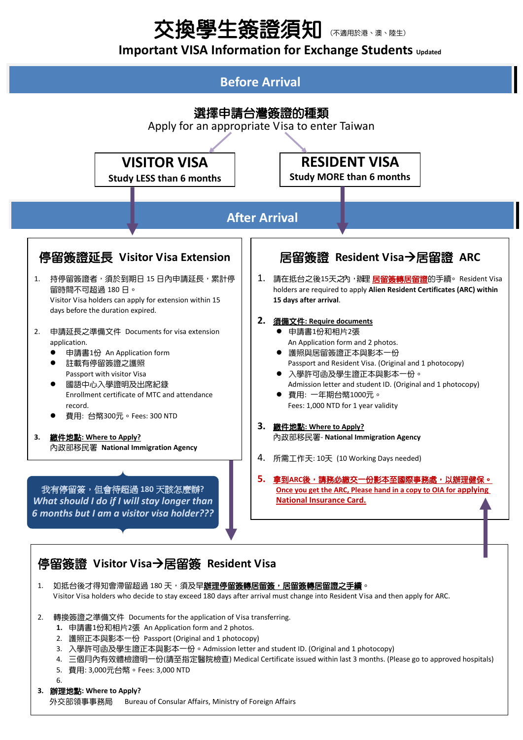# 交換學生簽證須知

### **Important VISA Information for Exchange Students** *updated*



- Visitor Visa holders who decide to stay exceed 180 days after arrival must change into Resident Visa and then apply for ARC.
- 2. 轉換簽證之準備文件 Documents for the application of Visa transferring.
	- **1.** 申請書1份和相片2張 An Application form and 2 photos.
	- 2. 護照正本與影本一份 Passport (Original and 1 photocopy)
	- 3. 入學許可函及學生證正本與影本一份。Admission letter and student ID. (Original and 1 photocopy)
	- 4. 三個月內有效體檢證明一份(請至指定醫院檢查) Medical Certificate issued within last 3 months. (Please go to approved hospitals)
	- 5. 費用: 3,000元台幣。Fees: 3,000 NTD
	- 6.
- **3.** 辦理地點**: Where to Apply?**

外交部領事事務局 Bureau of Consular Affairs, Ministry of Foreign Affairs